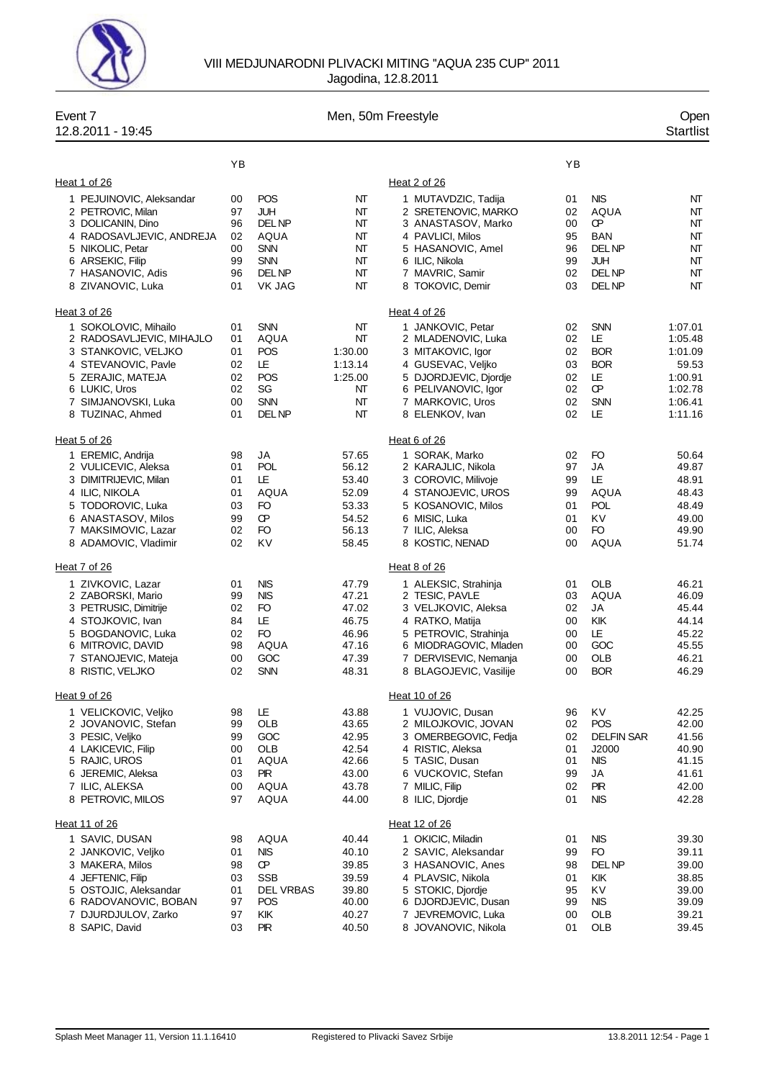

## VIII MEDJUNARODNI PLIVACKI MITING ''AQUA 235 CUP'' 2011 Jagodina, 12.8.2011

| Event 7<br>12.8.2011 - 19:45                                                                                                                                                     |                                              |                                                                                                     |                                                                      | Men, 50m Freestyle                                                                                                                                                                    |                                              |                                                                                                 | Open<br><b>Startlist</b>                                                           |
|----------------------------------------------------------------------------------------------------------------------------------------------------------------------------------|----------------------------------------------|-----------------------------------------------------------------------------------------------------|----------------------------------------------------------------------|---------------------------------------------------------------------------------------------------------------------------------------------------------------------------------------|----------------------------------------------|-------------------------------------------------------------------------------------------------|------------------------------------------------------------------------------------|
|                                                                                                                                                                                  | ΥB                                           |                                                                                                     |                                                                      |                                                                                                                                                                                       | YB                                           |                                                                                                 |                                                                                    |
| Heat 1 of 26                                                                                                                                                                     |                                              |                                                                                                     |                                                                      | Heat 2 of 26                                                                                                                                                                          |                                              |                                                                                                 |                                                                                    |
| 1 PEJUINOVIC, Aleksandar<br>2 PETROVIC, Milan<br>3 DOLICANIN, Dino<br>4 RADOSAVLJEVIC, ANDREJA<br>5 NIKOLIC, Petar<br>6 ARSEKIC, Filip<br>7 HASANOVIC, Adis<br>8 ZIVANOVIC, Luka | 00<br>97<br>96<br>02<br>00<br>99<br>96<br>01 | <b>POS</b><br>JUH<br>DEL NP<br>AQUA<br><b>SNN</b><br><b>SNN</b><br>DEL NP<br>VK JAG                 | NΤ<br>NΤ<br>NΤ<br>NT<br>NΤ<br>NΤ<br>NΤ<br>NΤ                         | 1 MUTAVDZIC, Tadija<br>2 SRETENOVIC, MARKO<br>3 ANASTASOV, Marko<br>4 PAVLICI, Milos<br>5 HASANOVIC, Amel<br>6 ILIC, Nikola<br>7 MAVRIC, Samir<br>8 TOKOVIC, Demir                    | 01<br>02<br>00<br>95<br>96<br>99<br>02<br>03 | <b>NIS</b><br>AQUA<br>Œ<br><b>BAN</b><br><b>DELNP</b><br>JUH<br>DEL NP<br><b>DELNP</b>          | NT<br>NT<br>NT<br>NT<br>NT<br>NT<br>NT<br>NT                                       |
| Heat 3 of 26                                                                                                                                                                     |                                              |                                                                                                     |                                                                      | Heat 4 of 26                                                                                                                                                                          |                                              |                                                                                                 |                                                                                    |
| 1 SOKOLOVIC, Mihailo<br>2 RADOSAVLJEVIC, MIHAJLO<br>3 STANKOVIC, VELJKO<br>4 STEVANOVIC, Pavle<br>5 ZERAJIC, MATEJA<br>6 LUKIC, Uros<br>7 SIMJANOVSKI, Luka<br>8 TUZINAC, Ahmed  | 01<br>01<br>01<br>02<br>02<br>02<br>00<br>01 | <b>SNN</b><br>AQUA<br>POS<br>LE<br><b>POS</b><br>SG<br><b>SNN</b><br>DEL NP                         | NΤ<br>NΤ<br>1:30.00<br>1:13.14<br>1:25.00<br>NΤ<br>NΤ<br>NΤ          | 1 JANKOVIC, Petar<br>2 MLADENOVIC, Luka<br>3 MITAKOVIC, Igor<br>4 GUSEVAC, Veljko<br>5 DJORDJEVIC, Djordje<br>6 PELIVANOVIC, Igor<br>7 MARKOVIC, Uros<br>8 ELENKOV, Ivan              | 02<br>02<br>02<br>03<br>02<br>02<br>02<br>02 | <b>SNN</b><br>LE<br><b>BOR</b><br><b>BOR</b><br>LE<br><b>CP</b><br><b>SNN</b><br>LE             | 1:07.01<br>1:05.48<br>1:01.09<br>59.53<br>1:00.91<br>1:02.78<br>1:06.41<br>1:11.16 |
| Heat 5 of 26                                                                                                                                                                     |                                              |                                                                                                     |                                                                      | Heat 6 of 26                                                                                                                                                                          |                                              |                                                                                                 |                                                                                    |
| 1 EREMIC, Andrija<br>2 VULICEVIC, Aleksa<br>3 DIMITRIJEVIC, Milan<br>4 ILIC, NIKOLA<br>5 TODOROVIC, Luka<br>6 ANASTASOV, Milos<br>7 MAKSIMOVIC, Lazar<br>8 ADAMOVIC, Vladimir    | 98<br>01<br>01<br>01<br>03<br>99<br>02<br>02 | JA<br><b>POL</b><br>LE<br>AQUA<br>FO<br>Œ<br>FO<br>KV                                               | 57.65<br>56.12<br>53.40<br>52.09<br>53.33<br>54.52<br>56.13<br>58.45 | 1 SORAK, Marko<br>2 KARAJLIC, Nikola<br>3 COROVIC, Milivoje<br>4 STANOJEVIC, UROS<br>5 KOSANOVIC, Milos<br>6 MISIC, Luka<br>7 ILIC, Aleksa<br>8 KOSTIC, NENAD                         | 02<br>97<br>99<br>99<br>01<br>01<br>00<br>00 | FO<br>JA<br>LE<br>AQUA<br><b>POL</b><br>KV<br>FO<br><b>AQUA</b>                                 | 50.64<br>49.87<br>48.91<br>48.43<br>48.49<br>49.00<br>49.90<br>51.74               |
| Heat 7 of 26                                                                                                                                                                     |                                              |                                                                                                     |                                                                      | Heat 8 of 26                                                                                                                                                                          |                                              |                                                                                                 |                                                                                    |
| 1 ZIVKOVIC, Lazar<br>2 ZABORSKI, Mario<br>3 PETRUSIC, Dimitrije<br>4 STOJKOVIC, Ivan<br>5 BOGDANOVIC, Luka<br>6 MITROVIC, DAVID<br>7 STANOJEVIC, Mateja<br>8 RISTIC, VELJKO      | 01<br>99<br>02<br>84<br>02<br>98<br>00<br>02 | <b>NIS</b><br><b>NIS</b><br>FO<br>LE<br>FO<br>AQUA<br>GOC<br><b>SNN</b>                             | 47.79<br>47.21<br>47.02<br>46.75<br>46.96<br>47.16<br>47.39<br>48.31 | 1 ALEKSIC, Strahinja<br>2 TESIC, PAVLE<br>3 VELJKOVIC, Aleksa<br>4 RATKO, Matija<br>5 PETROVIC, Strahinja<br>6 MIODRAGOVIC, Mladen<br>7 DERVISEVIC, Nemanja<br>8 BLAGOJEVIC, Vasilije | 01<br>03<br>02<br>00<br>00<br>00<br>00<br>00 | OLB<br>AQUA<br>JA<br>KIK<br>LE<br>GOC<br>OLB<br><b>BOR</b>                                      | 46.21<br>46.09<br>45.44<br>44.14<br>45.22<br>45.55<br>46.21<br>46.29               |
| Heat 9 of 26                                                                                                                                                                     |                                              |                                                                                                     |                                                                      | Heat 10 of 26                                                                                                                                                                         |                                              |                                                                                                 |                                                                                    |
| 1 VELICKOVIC, Veljko<br>2 JOVANOVIC, Stefan<br>3 PESIC, Veliko<br>4 LAKICEVIC, Filip<br>5 RAJIC, UROS<br>6 JEREMIC, Aleksa<br>7 ILIC, ALEKSA<br>8 PETROVIC, MILOS                | 98<br>99<br>99<br>00<br>01<br>03<br>00<br>97 | LE<br><b>OLB</b><br>GOC<br><b>OLB</b><br>AQUA<br><b>PIR</b><br><b>AQUA</b><br><b>AQUA</b>           | 43.88<br>43.65<br>42.95<br>42.54<br>42.66<br>43.00<br>43.78<br>44.00 | 1 VUJOVIC, Dusan<br>2 MILOJKOVIC, JOVAN<br>3 OMERBEGOVIC, Fedja<br>4 RISTIC. Aleksa<br>5 TASIC, Dusan<br>6 VUCKOVIC, Stefan<br>7 MILIC, Filip<br>8 ILIC, Djordje                      | 96<br>02<br>02<br>01<br>01<br>99<br>02<br>01 | KV.<br><b>POS</b><br><b>DELFIN SAR</b><br>J2000<br><b>NIS</b><br>JA<br><b>PIR</b><br><b>NIS</b> | 42.25<br>42.00<br>41.56<br>40.90<br>41.15<br>41.61<br>42.00<br>42.28               |
| Heat 11 of 26                                                                                                                                                                    |                                              |                                                                                                     |                                                                      | Heat 12 of 26                                                                                                                                                                         |                                              |                                                                                                 |                                                                                    |
| 1 SAVIC, DUSAN<br>2 JANKOVIC, Veljko<br>3 MAKERA, Milos<br>4 JEFTENIC, Filip<br>5 OSTOJIC, Aleksandar<br>6 RADOVANOVIC, BOBAN<br>7 DJURDJULOV, Zarko<br>8 SAPIC, David           | 98<br>01<br>98<br>03<br>01<br>97<br>97<br>03 | <b>AQUA</b><br><b>NIS</b><br>Œ<br><b>SSB</b><br><b>DEL VRBAS</b><br><b>POS</b><br>KIK<br><b>PIR</b> | 40.44<br>40.10<br>39.85<br>39.59<br>39.80<br>40.00<br>40.27<br>40.50 | 1 OKICIC, Miladin<br>2 SAVIC, Aleksandar<br>3 HASANOVIC, Anes<br>4 PLAVSIC, Nikola<br>5 STOKIC, Djordje<br>6 DJORDJEVIC, Dusan<br>7 JEVREMOVIC, Luka<br>8 JOVANOVIC, Nikola           | 01<br>99<br>98<br>01<br>95<br>99<br>00<br>01 | <b>NIS</b><br>FO<br>DEL NP<br>KIK<br>K٧<br>NIS.<br>OLB<br>OLB                                   | 39.30<br>39.11<br>39.00<br>38.85<br>39.00<br>39.09<br>39.21<br>39.45               |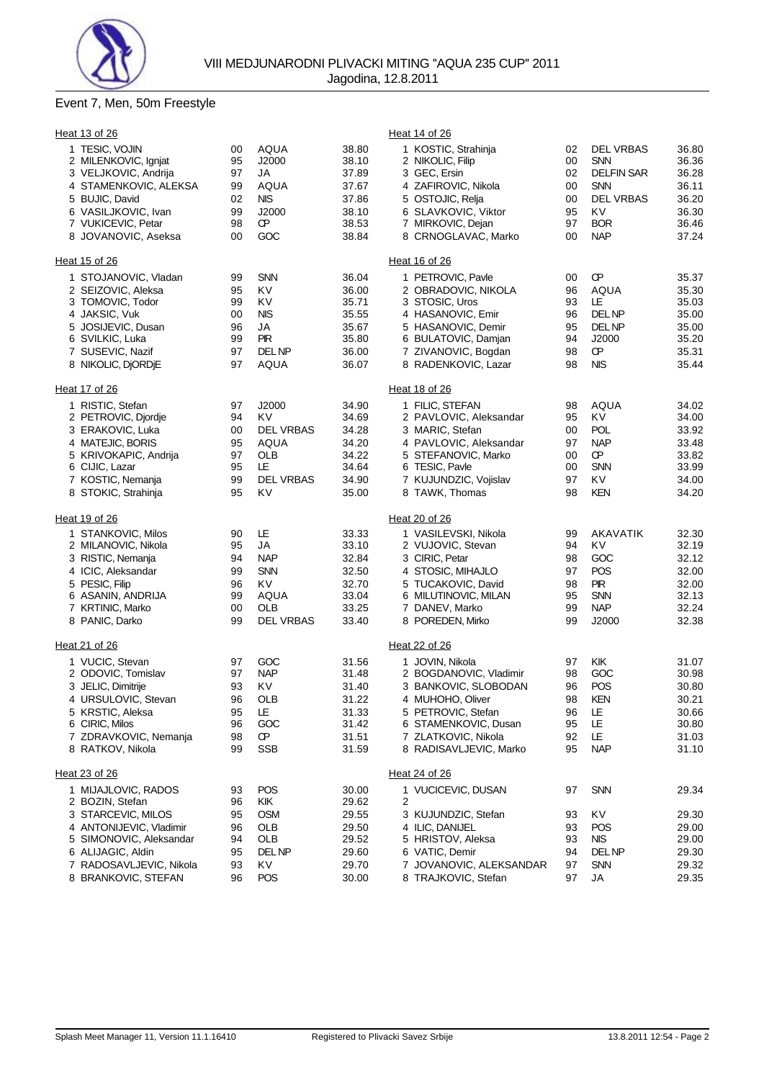

## Event 7, Men, 50m Freestyle

| Heat 13 of 26                                                  |                |                            |                         | Heat 14 of 26                                                                                                                    |                         |
|----------------------------------------------------------------|----------------|----------------------------|-------------------------|----------------------------------------------------------------------------------------------------------------------------------|-------------------------|
| 1 TESIC, VOJIN<br>2 MILENKOVIC, Ignjat<br>3 VELJKOVIC, Andrija | 00<br>95<br>97 | <b>AQUA</b><br>J2000<br>JA | 38.80<br>38.10<br>37.89 | 1 KOSTIC, Strahinja<br><b>DEL VRBAS</b><br>02<br>00<br><b>SNN</b><br>2 NIKOLIC, Filip<br><b>DELFIN SAR</b><br>3 GEC, Ersin<br>02 | 36.80<br>36.36<br>36.28 |
| 4 STAMENKOVIC, ALEKSA                                          | 99             | AQUA                       | 37.67                   | 4 ZAFIROVIC, Nikola<br>00<br><b>SNN</b>                                                                                          | 36.11                   |
| 5 BUJIC, David                                                 | 02             | <b>NIS</b>                 | 37.86                   | <b>DEL VRBAS</b><br>5 OSTOJIC, Relja<br>00                                                                                       | 36.20                   |
| 6 VASILJKOVIC, Ivan                                            | 99             | J2000                      | 38.10                   | 6 SLAVKOVIC, Viktor<br>95<br>KV                                                                                                  | 36.30                   |
| 7 VUKICEVIC, Petar                                             | 98             | Œ                          | 38.53                   | 7 MIRKOVIC, Dejan<br>97<br><b>BOR</b>                                                                                            | 36.46                   |
| 8 JOVANOVIC, Aseksa                                            | 00             | GOC                        | 38.84                   | 8 CRNOGLAVAC, Marko<br><b>NAP</b><br>00                                                                                          | 37.24                   |
| Heat 15 of 26                                                  |                |                            |                         | Heat 16 of 26                                                                                                                    |                         |
| 1 STOJANOVIC, Vladan                                           | 99             | <b>SNN</b>                 | 36.04                   | 1 PETROVIC, Pavle<br>Œ<br>00                                                                                                     | 35.37                   |
| 2 SEIZOVIC, Aleksa                                             | 95             | KV                         | 36.00                   | 2 OBRADOVIC, NIKOLA<br>AQUA<br>96                                                                                                | 35.30                   |
| 3 TOMOVIC, Todor                                               | 99             | K٧                         | 35.71                   | 3 STOSIC, Uros<br>93<br>LE                                                                                                       | 35.03                   |
| 4 JAKSIC, Vuk                                                  | 00             | <b>NIS</b>                 | 35.55                   | <b>DELNP</b><br>4 HASANOVIC, Emir<br>96                                                                                          | 35.00                   |
| 5 JOSIJEVIC, Dusan                                             | 96             | JA                         | 35.67                   | 5 HASANOVIC, Demir<br>95<br>DEL NP                                                                                               | 35.00                   |
| 6 SVILKIC, Luka                                                | 99             | <b>PIR</b>                 | 35.80                   | 6 BULATOVIC, Damjan<br>94<br>J2000                                                                                               | 35.20                   |
| 7 SUSEVIC, Nazif                                               | 97             | DEL NP                     | 36.00                   | <b>CP</b><br>7 ZIVANOVIC, Bogdan<br>98                                                                                           | 35.31                   |
| 8 NIKOLIC, DjORDjE                                             | 97             | <b>AQUA</b>                | 36.07                   | 8 RADENKOVIC, Lazar<br><b>NIS</b><br>98                                                                                          | 35.44                   |
| Heat 17 of 26                                                  |                |                            |                         | Heat 18 of 26                                                                                                                    |                         |
| 1 RISTIC, Stefan                                               | 97             | J2000                      | 34.90                   | 1 FILIC, STEFAN<br>AQUA<br>98                                                                                                    | 34.02                   |
| 2 PETROVIC, Djordje                                            | 94             | K٧                         | 34.69                   | 2 PAVLOVIC, Aleksandar<br>95<br>KV                                                                                               | 34.00                   |
| 3 ERAKOVIC, Luka                                               | 00             | DEL VRBAS                  | 34.28                   | <b>POL</b><br>3 MARIC, Stefan<br>00                                                                                              | 33.92                   |
| 4 MATEJIC, BORIS                                               | 95             | AQUA                       | 34.20                   | 4 PAVLOVIC, Aleksandar<br><b>NAP</b><br>97                                                                                       | 33.48                   |
| 5 KRIVOKAPIC, Andrija                                          | 97             | OLB                        | 34.22                   | Œ<br>5 STEFANOVIC, Marko<br>00                                                                                                   | 33.82                   |
| 6 CIJIC, Lazar                                                 | 95             | LE                         | 34.64                   | 6 TESIC, Pavle<br>00<br><b>SNN</b>                                                                                               | 33.99                   |
| 7 KOSTIC, Nemanja                                              | 99             | DEL VRBAS                  | 34.90                   | 7 KUJUNDZIC, Vojislav<br>97<br>KV                                                                                                | 34.00                   |
| 8 STOKIC, Strahinja                                            | 95             | KV                         | 35.00                   | 8 TAWK, Thomas<br>98<br><b>KEN</b>                                                                                               | 34.20                   |
| Heat 19 of 26                                                  |                |                            |                         | Heat 20 of 26                                                                                                                    |                         |
| 1 STANKOVIC, Milos                                             | 90             | LE                         | 33.33                   | 1 VASILEVSKI, Nikola<br><b>AKAVATIK</b><br>99                                                                                    | 32.30                   |
| 2 MILANOVIC, Nikola                                            | 95             | JA                         | 33.10                   | 2 VUJOVIC, Stevan<br>94<br>KV                                                                                                    | 32.19                   |
| 3 RISTIC, Nemanja                                              | 94             | <b>NAP</b>                 | 32.84                   | 3 CIRIC, Petar<br>GOC<br>98                                                                                                      | 32.12                   |
| 4 ICIC, Aleksandar                                             | 99             | <b>SNN</b>                 | 32.50                   | 97<br><b>POS</b><br>4 STOSIC, MIHAJLO                                                                                            | 32.00                   |
| 5 PESIC, Filip                                                 | 96             | KV                         | 32.70                   | <b>PIR</b><br>5 TUCAKOVIC, David<br>98                                                                                           | 32.00                   |
| 6 ASANIN, ANDRIJA                                              | 99             | <b>AQUA</b>                | 33.04                   | 6 MILUTINOVIC, MILAN<br>95<br><b>SNN</b>                                                                                         | 32.13                   |
| 7 KRTINIC, Marko<br>8 PANIC, Darko                             | 00<br>99       | OLB<br>DEL VRBAS           | 33.25<br>33.40          | 7 DANEV, Marko<br>99<br><b>NAP</b><br>J2000<br>8 POREDEN, Mirko<br>99                                                            | 32.24<br>32.38          |
|                                                                |                |                            |                         |                                                                                                                                  |                         |
| Heat 21 of 26                                                  |                |                            |                         | Heat 22 of 26                                                                                                                    |                         |
| 1 VUCIC, Stevan                                                | 97             | GOC                        | 31.56                   | KIK<br>1 JOVIN, Nikola<br>97                                                                                                     | 31.07                   |
| 2 ODOVIC, Tomislav                                             | 97             | <b>NAP</b>                 | 31.48                   | GOC<br>2 BOGDANOVIC, Vladimir<br>98                                                                                              | 30.98                   |
| 3 JELIC, Dimitrije<br>4 URSULOVIC, Stevan                      | 93<br>96       | KV<br><b>OLB</b>           | 31.40<br>31.22          | POS<br>3 BANKOVIC, SLOBODAN<br>96<br><b>KEN</b><br>98<br>4 MUHOHO, Oliver                                                        | 30.80<br>30.21          |
| 5 KRSTIC, Aleksa                                               |                | LE                         | 31.33                   | 5 PETROVIC, Stefan<br>LE                                                                                                         | 30.66                   |
| 6 CIRIC, Milos                                                 | 95<br>96       | GOC                        | 31.42                   | 96<br>6 STAMENKOVIC, Dusan<br>LE<br>95                                                                                           | 30.80                   |
| 7 ZDRAVKOVIC, Nemanja                                          | 98             | œ                          | 31.51                   | LE<br>7 ZLATKOVIC, Nikola<br>92                                                                                                  | 31.03                   |
| 8 RATKOV, Nikola                                               | 99             | <b>SSB</b>                 | 31.59                   | 8 RADISAVLJEVIC, Marko<br>95<br><b>NAP</b>                                                                                       | 31.10                   |
| Heat 23 of 26                                                  |                |                            |                         | Heat 24 of 26                                                                                                                    |                         |
| 1 MIJAJLOVIC, RADOS                                            | 93             | <b>POS</b>                 | 30.00                   | <b>SNN</b><br>1 VUCICEVIC, DUSAN<br>97                                                                                           | 29.34                   |
| 2 BOZIN, Stefan                                                | 96             | KIK                        | 29.62                   | 2                                                                                                                                |                         |
| 3 STARCEVIC, MILOS                                             | 95             | <b>OSM</b>                 | 29.55                   | KV<br>3 KUJUNDZIC, Stefan<br>93                                                                                                  | 29.30                   |
| 4 ANTONIJEVIC, Vladimir                                        | 96             | OLB                        | 29.50                   | 4 ILIC, DANIJEL<br>93<br><b>POS</b>                                                                                              | 29.00                   |
| 5 SIMONOVIC, Aleksandar                                        | 94             | OLB                        | 29.52                   | 5 HRISTOV, Aleksa<br>93<br><b>NIS</b>                                                                                            | 29.00                   |
| 6 ALIJAGIC, Aldin                                              | 95             | DEL NP                     | 29.60                   | 6 VATIC, Demir<br>94<br>DEL NP                                                                                                   | 29.30                   |
| 7 RADOSAVLJEVIC, Nikola                                        | 93             | KV                         | 29.70                   | 7 JOVANOVIC, ALEKSANDAR<br><b>SNN</b><br>97                                                                                      | 29.32                   |
| 8 BRANKOVIC, STEFAN                                            | 96             | POS                        | 30.00                   | 8 TRAJKOVIC, Stefan<br>97<br>JA                                                                                                  | 29.35                   |